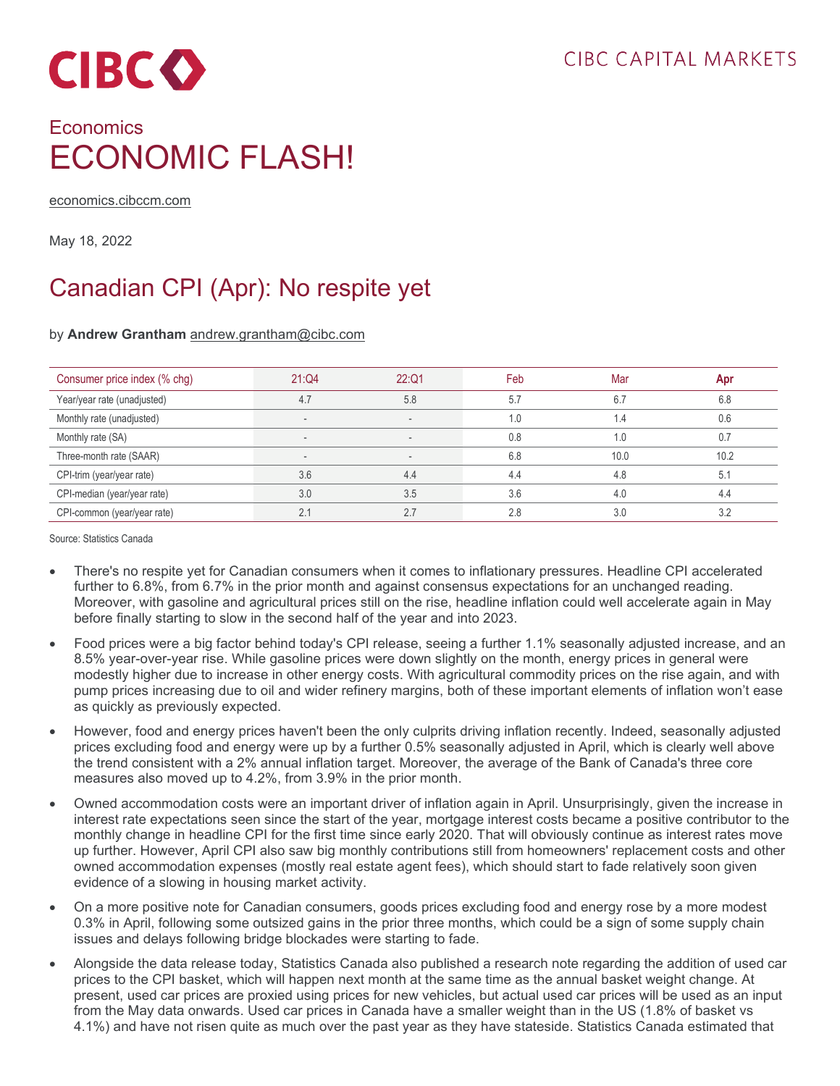

## **Economics** ECONOMIC FLASH!

[economics.cibccm.com](http://economics.cibccm.com/)

May 18, 2022

## Canadian CPI (Apr): No respite yet

## by **Andrew Grantham** [andrew.grantham@cibc.com](mailto:andrew.grantham@cibc.com)

| Consumer price index (% chg) | 21:Q4 | 22:Q1 | Feb | Mar  | Apr  |
|------------------------------|-------|-------|-----|------|------|
| Year/year rate (unadjusted)  | 4.7   | 5.8   | 5.7 | 6.7  | 6.8  |
| Monthly rate (unadjusted)    |       |       | 1.0 | 1.4  | 0.6  |
| Monthly rate (SA)            |       |       | 0.8 | 1.0  | 0.7  |
| Three-month rate (SAAR)      |       |       | 6.8 | 10.0 | 10.2 |
| CPI-trim (year/year rate)    | 3.6   | 4.4   | 4.4 | 4.8  | 5.1  |
| CPI-median (year/year rate)  | 3.0   | 3.5   | 3.6 | 4.0  | 4.4  |
| CPI-common (year/year rate)  | 2.1   | 2.7   | 2.8 | 3.0  |      |

Source: Statistics Canada

- There's no respite yet for Canadian consumers when it comes to inflationary pressures. Headline CPI accelerated further to 6.8%, from 6.7% in the prior month and against consensus expectations for an unchanged reading. Moreover, with gasoline and agricultural prices still on the rise, headline inflation could well accelerate again in May before finally starting to slow in the second half of the year and into 2023.
- Food prices were a big factor behind today's CPI release, seeing a further 1.1% seasonally adjusted increase, and an 8.5% year-over-year rise. While gasoline prices were down slightly on the month, energy prices in general were modestly higher due to increase in other energy costs. With agricultural commodity prices on the rise again, and with pump prices increasing due to oil and wider refinery margins, both of these important elements of inflation won't ease as quickly as previously expected.
- However, food and energy prices haven't been the only culprits driving inflation recently. Indeed, seasonally adjusted prices excluding food and energy were up by a further 0.5% seasonally adjusted in April, which is clearly well above the trend consistent with a 2% annual inflation target. Moreover, the average of the Bank of Canada's three core measures also moved up to 4.2%, from 3.9% in the prior month.
- Owned accommodation costs were an important driver of inflation again in April. Unsurprisingly, given the increase in interest rate expectations seen since the start of the year, mortgage interest costs became a positive contributor to the monthly change in headline CPI for the first time since early 2020. That will obviously continue as interest rates move up further. However, April CPI also saw big monthly contributions still from homeowners' replacement costs and other owned accommodation expenses (mostly real estate agent fees), which should start to fade relatively soon given evidence of a slowing in housing market activity.
- On a more positive note for Canadian consumers, goods prices excluding food and energy rose by a more modest 0.3% in April, following some outsized gains in the prior three months, which could be a sign of some supply chain issues and delays following bridge blockades were starting to fade.
- Alongside the data release today, Statistics Canada also published a research note regarding the addition of used car prices to the CPI basket, which will happen next month at the same time as the annual basket weight change. At present, used car prices are proxied using prices for new vehicles, but actual used car prices will be used as an input from the May data onwards. Used car prices in Canada have a smaller weight than in the US (1.8% of basket vs 4.1%) and have not risen quite as much over the past year as they have stateside. Statistics Canada estimated that